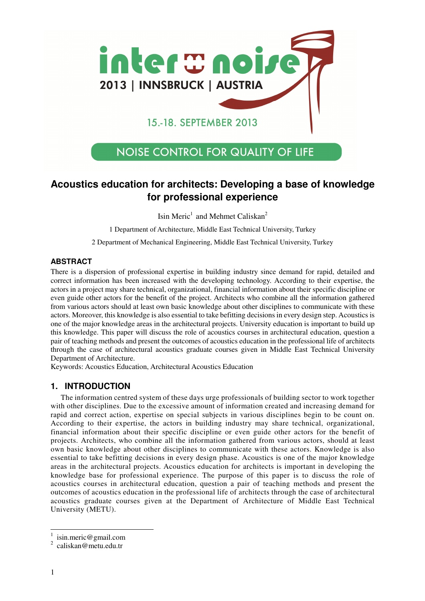

# 15.-18. SEPTEMBER 2013

# **NOISE CONTROL FOR QUALITY OF LIFE**

# **Acoustics education for architects: Developing a base of knowledge for professional experience**

Isin Meric<sup>1</sup> and Mehmet Caliskan<sup>2</sup>

1 Department of Architecture, Middle East Technical University, Turkey

2 Department of Mechanical Engineering, Middle East Technical University, Turkey

### **ABSTRACT**

There is a dispersion of professional expertise in building industry since demand for rapid, detailed and correct information has been increased with the developing technology. According to their expertise, the actors in a project may share technical, organizational, financial information about their specific discipline or even guide other actors for the benefit of the project. Architects who combine all the information gathered from various actors should at least own basic knowledge about other disciplines to communicate with these actors. Moreover, this knowledge is also essential to take befitting decisions in every design step. Acoustics is one of the major knowledge areas in the architectural projects. University education is important to build up this knowledge. This paper will discuss the role of acoustics courses in architectural education, question a pair of teaching methods and present the outcomes of acoustics education in the professional life of architects through the case of architectural acoustics graduate courses given in Middle East Technical University Department of Architecture.

Keywords: Acoustics Education, Architectural Acoustics Education

### **1. INTRODUCTION**

The information centred system of these days urge professionals of building sector to work together with other disciplines. Due to the excessive amount of information created and increasing demand for rapid and correct action, expertise on special subjects in various disciplines begin to be count on. According to their expertise, the actors in building industry may share technical, organizational, financial information about their specific discipline or even guide other actors for the benefit of projects. Architects, who combine all the information gathered from various actors, should at least own basic knowledge about other disciplines to communicate with these actors. Knowledge is also essential to take befitting decisions in every design phase. Acoustics is one of the major knowledge areas in the architectural projects. Acoustics education for architects is important in developing the knowledge base for professional experience. The purpose of this paper is to discuss the role of acoustics courses in architectural education, question a pair of teaching methods and present the outcomes of acoustics education in the professional life of architects through the case of architectural acoustics graduate courses given at the Department of Architecture of Middle East Technical University (METU).

 $\overline{1}$ 

<sup>1</sup> isin.meric@gmail.com

<sup>2</sup> caliskan@metu.edu.tr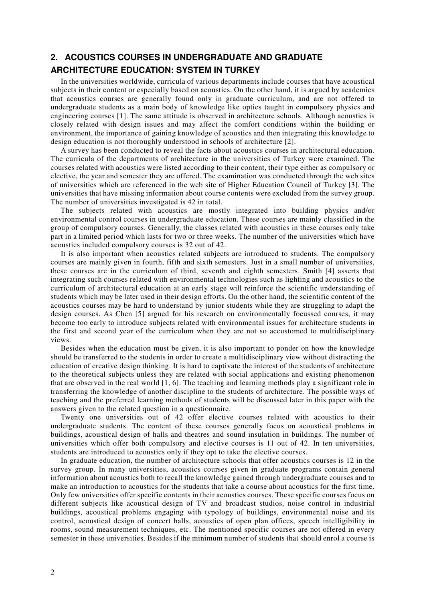# **2. ACOUSTICS COURSES IN UNDERGRADUATE AND GRADUATE ARCHITECTURE EDUCATION: SYSTEM IN TURKEY**

In the universities worldwide, curricula of various departments include courses that have acoustical subjects in their content or especially based on acoustics. On the other hand, it is argued by academics that acoustics courses are generally found only in graduate curriculum, and are not offered to undergraduate students as a main body of knowledge like optics taught in compulsory physics and engineering courses [1]. The same attitude is observed in architecture schools. Although acoustics is closely related with design issues and may affect the comfort conditions within the building or environment, the importance of gaining knowledge of acoustics and then integrating this knowledge to design education is not thoroughly understood in schools of architecture [2].

A survey has been conducted to reveal the facts about acoustics courses in architectural education. The curricula of the departments of architecture in the universities of Turkey were examined. The courses related with acoustics were listed according to their content, their type either as compulsory or elective, the year and semester they are offered. The examination was conducted through the web sites of universities which are referenced in the web site of Higher Education Council of Turkey [3]. The universities that have missing information about course contents were excluded from the survey group. The number of universities investigated is 42 in total.

The subjects related with acoustics are mostly integrated into building physics and/or environmental control courses in undergraduate education. These courses are mainly classified in the group of compulsory courses. Generally, the classes related with acoustics in these courses only take part in a limited period which lasts for two or three weeks. The number of the universities which have acoustics included compulsory courses is 32 out of 42.

It is also important when acoustics related subjects are introduced to students. The compulsory courses are mainly given in fourth, fifth and sixth semesters. Just in a small number of universities, these courses are in the curriculum of third, seventh and eighth semesters. Smith [4] asserts that integrating such courses related with environmental technologies such as lighting and acoustics to the curriculum of architectural education at an early stage will reinforce the scientific understanding of students which may be later used in their design efforts. On the other hand, the scientific content of the acoustics courses may be hard to understand by junior students while they are struggling to adapt the design courses. As Chen [5] argued for his research on environmentally focussed courses, it may become too early to introduce subjects related with environmental issues for architecture students in the first and second year of the curriculum when they are not so accustomed to multidisciplinary views.

Besides when the education must be given, it is also important to ponder on how the knowledge should be transferred to the students in order to create a multidisciplinary view without distracting the education of creative design thinking. It is hard to captivate the interest of the students of architecture to the theoretical subjects unless they are related with social applications and existing phenomenon that are observed in the real world [1, 6]. The teaching and learning methods play a significant role in transferring the knowledge of another discipline to the students of architecture. The possible ways of teaching and the preferred learning methods of students will be discussed later in this paper with the answers given to the related question in a questionnaire.

Twenty one universities out of 42 offer elective courses related with acoustics to their undergraduate students. The content of these courses generally focus on acoustical problems in buildings, acoustical design of halls and theatres and sound insulation in buildings. The number of universities which offer both compulsory and elective courses is 11 out of 42. In ten universities, students are introduced to acoustics only if they opt to take the elective courses.

In graduate education, the number of architecture schools that offer acoustics courses is 12 in the survey group. In many universities, acoustics courses given in graduate programs contain general information about acoustics both to recall the knowledge gained through undergraduate courses and to make an introduction to acoustics for the students that take a course about acoustics for the first time. Only few universities offer specific contents in their acoustics courses. These specific courses focus on different subjects like acoustical design of TV and broadcast studios, noise control in industrial buildings, acoustical problems engaging with typology of buildings, environmental noise and its control, acoustical design of concert halls, acoustics of open plan offices, speech intelligibility in rooms, sound measurement techniques, etc. The mentioned specific courses are not offered in every semester in these universities. Besides if the minimum number of students that should enrol a course is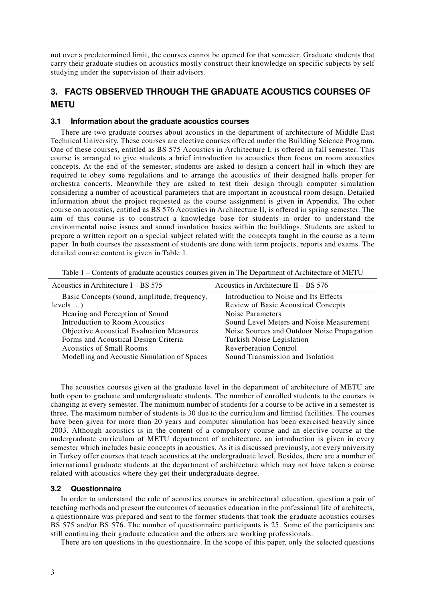not over a predetermined limit, the courses cannot be opened for that semester. Graduate students that carry their graduate studies on acoustics mostly construct their knowledge on specific subjects by self studying under the supervision of their advisors.

## **3. FACTS OBSERVED THROUGH THE GRADUATE ACOUSTICS COURSES OF METU**

#### **3.1 Information about the graduate acoustics courses**

There are two graduate courses about acoustics in the department of architecture of Middle East Technical University. These courses are elective courses offered under the Building Science Program. One of these courses, entitled as BS 575 Acoustics in Architecture I, is offered in fall semester. This course is arranged to give students a brief introduction to acoustics then focus on room acoustics concepts. At the end of the semester, students are asked to design a concert hall in which they are required to obey some regulations and to arrange the acoustics of their designed halls proper for orchestra concerts. Meanwhile they are asked to test their design through computer simulation considering a number of acoustical parameters that are important in acoustical room design. Detailed information about the project requested as the course assignment is given in Appendix. The other course on acoustics, entitled as BS 576 Acoustics in Architecture II, is offered in spring semester. The aim of this course is to construct a knowledge base for students in order to understand the environmental noise issues and sound insulation basics within the buildings. Students are asked to prepare a written report on a special subject related with the concepts taught in the course as a term paper. In both courses the assessment of students are done with term projects, reports and exams. The detailed course content is given in Table 1.

| Acoustics in Architecture $I - BS 575$          | Acoustics in Architecture II – BS $576$     |
|-------------------------------------------------|---------------------------------------------|
| Basic Concepts (sound, amplitude, frequency,    | Introduction to Noise and Its Effects       |
| levels                                          | <b>Review of Basic Acoustical Concepts</b>  |
| Hearing and Perception of Sound                 | Noise Parameters                            |
| Introduction to Room Acoustics                  | Sound Level Meters and Noise Measurement    |
| <b>Objective Acoustical Evaluation Measures</b> | Noise Sources and Outdoor Noise Propagation |
| Forms and Acoustical Design Criteria            | Turkish Noise Legislation                   |
| <b>Acoustics of Small Rooms</b>                 | <b>Reverberation Control</b>                |
| Modelling and Acoustic Simulation of Spaces     | Sound Transmission and Isolation            |
|                                                 |                                             |

Table 1 – Contents of graduate acoustics courses given in The Department of Architecture of METU

The acoustics courses given at the graduate level in the department of architecture of METU are both open to graduate and undergraduate students. The number of enrolled students to the courses is changing at every semester. The minimum number of students for a course to be active in a semester is three. The maximum number of students is 30 due to the curriculum and limited facilities. The courses have been given for more than 20 years and computer simulation has been exercised heavily since 2003. Although acoustics is in the content of a compulsory course and an elective course at the undergraduate curriculum of METU department of architecture, an introduction is given in every semester which includes basic concepts in acoustics. As it is discussed previously, not every university in Turkey offer courses that teach acoustics at the undergraduate level. Besides, there are a number of international graduate students at the department of architecture which may not have taken a course related with acoustics where they get their undergraduate degree.

#### **3.2 Questionnaire**

In order to understand the role of acoustics courses in architectural education, question a pair of teaching methods and present the outcomes of acoustics education in the professional life of architects, a questionnaire was prepared and sent to the former students that took the graduate acoustics courses BS 575 and/or BS 576. The number of questionnaire participants is 25. Some of the participants are still continuing their graduate education and the others are working professionals.

There are ten questions in the questionnaire. In the scope of this paper, only the selected questions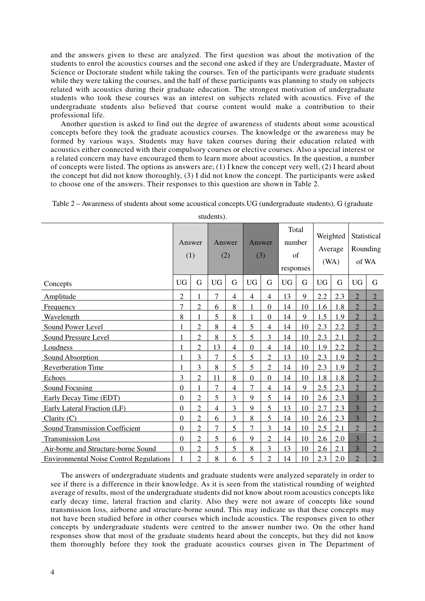and the answers given to these are analyzed. The first question was about the motivation of the students to enrol the acoustics courses and the second one asked if they are Undergraduate, Master of Science or Doctorate student while taking the courses. Ten of the participants were graduate students while they were taking the courses, and the half of these participants was planning to study on subjects related with acoustics during their graduate education. The strongest motivation of undergraduate students who took these courses was an interest on subjects related with acoustics. Five of the undergraduate students also believed that course content would make a contribution to their professional life.

Another question is asked to find out the degree of awareness of students about some acoustical concepts before they took the graduate acoustics courses. The knowledge or the awareness may be formed by various ways. Students may have taken courses during their education related with acoustics either connected with their compulsory courses or elective courses. Also a special interest or a related concern may have encouraged them to learn more about acoustics. In the question, a number of concepts were listed. The options as answers are; (1) I knew the concept very well, (2) I heard about the concept but did not know thoroughly, (3) I did not know the concept. The participants were asked to choose one of the answers. Their responses to this question are shown in Table 2.

|                                                |                  |                | students).     |                |                |                |                                    |    |                                          |     |                                  |                |
|------------------------------------------------|------------------|----------------|----------------|----------------|----------------|----------------|------------------------------------|----|------------------------------------------|-----|----------------------------------|----------------|
|                                                | (1)              | Answer         |                | Answer<br>(2)  | Answer<br>(3)  |                | Total<br>number<br>of<br>responses |    | Weighted<br>Average<br>(W <sub>A</sub> ) |     | Statistical<br>Rounding<br>of WA |                |
| Concepts                                       | <b>UG</b>        | G              | <b>UG</b>      | G              | <b>UG</b>      | G              | <b>UG</b>                          | G  | <b>UG</b>                                | G   | <b>UG</b>                        | G              |
| Amplitude                                      | $\overline{2}$   |                | 7              | 4              | $\overline{4}$ | $\overline{4}$ | 13                                 | 9  | 2.2                                      | 2.3 | $\overline{2}$                   | $\overline{2}$ |
| Frequency                                      | 7                | $\overline{2}$ | 6              | 8              |                | $\theta$       | 14                                 | 10 | 1.6                                      | 1.8 | $\overline{2}$                   | $\overline{2}$ |
| Wavelength                                     | 8                | 1              | 5              | 8              |                | $\mathbf{0}$   | 14                                 | 9  | 1.5                                      | 1.9 | $\overline{2}$                   | $\overline{2}$ |
| Sound Power Level                              | 1                | $\overline{2}$ | 8              | $\overline{4}$ | 5              | $\overline{4}$ | 14                                 | 10 | 2.3                                      | 2.2 | $\overline{2}$                   | $\overline{2}$ |
| <b>Sound Pressure Level</b>                    | 1                | $\overline{2}$ | 8              | 5              | 5              | 3              | 14                                 | 10 | 2.3                                      | 2.1 | $\overline{2}$                   | $\overline{2}$ |
| Loudness                                       | $\mathbf{1}$     | $\overline{2}$ | 13             | $\overline{4}$ | $\overline{0}$ | 4              | 14                                 | 10 | 1.9                                      | 2.2 | $\mathcal{D}$                    | $\overline{2}$ |
| Sound Absorption                               | $\blacksquare$   | 3              | $\overline{7}$ | 5              | 5              | $\overline{2}$ | 13                                 | 10 | 2.3                                      | 1.9 | $\mathcal{D}$                    | $\overline{2}$ |
| <b>Reverberation Time</b>                      | 1                | 3              | 8              | 5              | 5              | $\overline{2}$ | 14                                 | 10 | 2.3                                      | 1.9 | $\overline{2}$                   | $\overline{2}$ |
| Echoes                                         | 3                | $\overline{2}$ | 11             | 8              | $\overline{0}$ | $\overline{0}$ | 14                                 | 10 | 1.8                                      | 1.8 | $\overline{2}$                   | $\overline{2}$ |
| Sound Focusing                                 | $\boldsymbol{0}$ |                | 7              | 4              | 7              | 4              | 14                                 | 9  | 2.5                                      | 2.3 | $\overline{2}$                   | $\overline{c}$ |
| Early Decay Time (EDT)                         | $\overline{0}$   | $\overline{2}$ | 5              | 3              | 9              | 5              | 14                                 | 10 | 2.6                                      | 2.3 | 3                                | $\overline{2}$ |
| Early Lateral Fraction (LF)                    | $\boldsymbol{0}$ | $\overline{2}$ | $\overline{4}$ | 3              | 9              | 5              | 13                                 | 10 | 2.7                                      | 2.3 | 3                                | $\overline{2}$ |
| Clarity $(C)$                                  | $\mathbf{0}$     | $\overline{2}$ | 6              | 3              | 8              | 5              | 14                                 | 10 | 2.6                                      | 2.3 | 3                                | $\overline{2}$ |
| <b>Sound Transmission Coefficient</b>          | $\overline{0}$   | $\overline{2}$ | $\overline{7}$ | 5              | 7              | 3              | 14                                 | 10 | 2.5                                      | 2.1 | $\overline{2}$                   | $\overline{2}$ |
| <b>Transmission Loss</b>                       | $\overline{0}$   | $\overline{2}$ | 5              | 6              | 9              | 2              | 14                                 | 10 | 2.6                                      | 2.0 | 3                                | $\overline{2}$ |
| Air-borne and Structure-borne Sound            | $\mathbf{0}$     | $\overline{2}$ | 5              | 5              | 8              | 3              | 13                                 | 10 | 2.6                                      | 2.1 | 3                                | $\overline{2}$ |
| <b>Environmental Noise Control Regulations</b> |                  | $\overline{2}$ | 8              | 6              | 5              | 2              | 14                                 | 10 | 2.3                                      | 2.0 | $\overline{2}$                   | $\overline{2}$ |

Table 2 – Awareness of students about some acoustical concepts.UG (undergraduate students), G (graduate

students).

The answers of undergraduate students and graduate students were analyzed separately in order to see if there is a difference in their knowledge. As it is seen from the statistical rounding of weighted average of results, most of the undergraduate students did not know about room acoustics concepts like early decay time, lateral fraction and clarity. Also they were not aware of concepts like sound transmission loss, airborne and structure-borne sound. This may indicate us that these concepts may not have been studied before in other courses which include acoustics. The responses given to other concepts by undergraduate students were centred to the answer number two. On the other hand responses show that most of the graduate students heard about the concepts, but they did not know them thoroughly before they took the graduate acoustics courses given in The Department of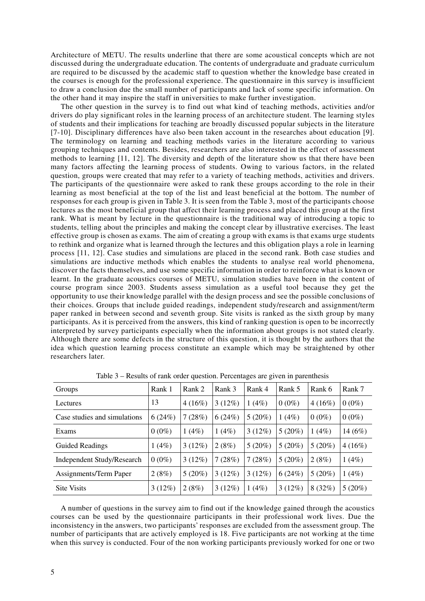Architecture of METU. The results underline that there are some acoustical concepts which are not discussed during the undergraduate education. The contents of undergraduate and graduate curriculum are required to be discussed by the academic staff to question whether the knowledge base created in the courses is enough for the professional experience. The questionnaire in this survey is insufficient to draw a conclusion due the small number of participants and lack of some specific information. On the other hand it may inspire the staff in universities to make further investigation.

The other question in the survey is to find out what kind of teaching methods, activities and/or drivers do play significant roles in the learning process of an architecture student. The learning styles of students and their implications for teaching are broadly discussed popular subjects in the literature [7-10]. Disciplinary differences have also been taken account in the researches about education [9]. The terminology on learning and teaching methods varies in the literature according to various grouping techniques and contents. Besides, researchers are also interested in the effect of assessment methods to learning [11, 12]. The diversity and depth of the literature show us that there have been many factors affecting the learning process of students. Owing to various factors, in the related question, groups were created that may refer to a variety of teaching methods, activities and drivers. The participants of the questionnaire were asked to rank these groups according to the role in their learning as most beneficial at the top of the list and least beneficial at the bottom. The number of responses for each group is given in Table 3. It is seen from the Table 3, most of the participants choose lectures as the most beneficial group that affect their learning process and placed this group at the first rank. What is meant by lecture in the questionnaire is the traditional way of introducing a topic to students, telling about the principles and making the concept clear by illustrative exercises. The least effective group is chosen as exams. The aim of creating a group with exams is that exams urge students to rethink and organize what is learned through the lectures and this obligation plays a role in learning process [11, 12]. Case studies and simulations are placed in the second rank. Both case studies and simulations are inductive methods which enables the students to analyse real world phenomena, discover the facts themselves, and use some specific information in order to reinforce what is known or learnt. In the graduate acoustics courses of METU, simulation studies have been in the content of course program since 2003. Students assess simulation as a useful tool because they get the opportunity to use their knowledge parallel with the design process and see the possible conclusions of their choices. Groups that include guided readings, independent study/research and assignment/term paper ranked in between second and seventh group. Site visits is ranked as the sixth group by many participants. As it is perceived from the answers, this kind of ranking question is open to be incorrectly interpreted by survey participants especially when the information about groups is not stated clearly. Although there are some defects in the structure of this question, it is thought by the authors that the idea which question learning process constitute an example which may be straightened by other researchers later.

| Groups                            | Rank 1   | Rank 2    | Rank 3 | Rank 4    | Rank 5    | Rank 6   | Rank 7    |
|-----------------------------------|----------|-----------|--------|-----------|-----------|----------|-----------|
| Lectures                          | 13       | $4(16\%)$ | 3(12%) | 1(4%)     | $0(0\%)$  | 4(16%)   | $0(0\%)$  |
| Case studies and simulations      | 6(24%)   | 7(28%)    | 6(24%) | $5(20\%)$ | 1(4%)     | $0(0\%)$ | $0(0\%)$  |
| Exams                             | $0(0\%)$ | 1(4%)     | 1(4%)  | $3(12\%)$ | $5(20\%)$ | 1(4%)    | 14 $(6%)$ |
| <b>Guided Readings</b>            | (4%)     | 3(12%)    | 2(8%)  | 5(20%)    | 5(20%)    | 5(20%)   | 4(16%)    |
| <b>Independent Study/Research</b> | $0(0\%)$ | $3(12\%)$ | 7(28%) | 7(28%)    | $5(20\%)$ | 2(8%)    | 1(4%)     |
| Assignments/Term Paper            | 2(8%)    | $5(20\%)$ | 3(12%) | $3(12\%)$ | 6(24%)    | 5(20%)   | 1(4%)     |
| <b>Site Visits</b>                | 3(12%)   | 2(8%)     | 3(12%) | 1(4%)     | 3(12%)    | 8(32%)   | $5(20\%)$ |

Table 3 – Results of rank order question. Percentages are given in parenthesis

A number of questions in the survey aim to find out if the knowledge gained through the acoustics courses can be used by the questionnaire participants in their professional work lives. Due the inconsistency in the answers, two participants' responses are excluded from the assessment group. The number of participants that are actively employed is 18. Five participants are not working at the time when this survey is conducted. Four of the non working participants previously worked for one or two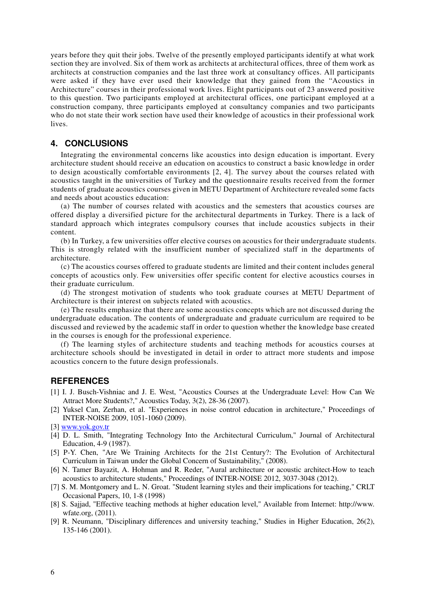years before they quit their jobs. Twelve of the presently employed participants identify at what work section they are involved. Six of them work as architects at architectural offices, three of them work as architects at construction companies and the last three work at consultancy offices. All participants were asked if they have ever used their knowledge that they gained from the "Acoustics in Architecture" courses in their professional work lives. Eight participants out of 23 answered positive to this question. Two participants employed at architectural offices, one participant employed at a construction company, three participants employed at consultancy companies and two participants who do not state their work section have used their knowledge of acoustics in their professional work lives.

### **4. CONCLUSIONS**

Integrating the environmental concerns like acoustics into design education is important. Every architecture student should receive an education on acoustics to construct a basic knowledge in order to design acoustically comfortable environments [2, 4]. The survey about the courses related with acoustics taught in the universities of Turkey and the questionnaire results received from the former students of graduate acoustics courses given in METU Department of Architecture revealed some facts and needs about acoustics education:

(a) The number of courses related with acoustics and the semesters that acoustics courses are offered display a diversified picture for the architectural departments in Turkey. There is a lack of standard approach which integrates compulsory courses that include acoustics subjects in their content.

(b) In Turkey, a few universities offer elective courses on acoustics for their undergraduate students. This is strongly related with the insufficient number of specialized staff in the departments of architecture.

(c) The acoustics courses offered to graduate students are limited and their content includes general concepts of acoustics only. Few universities offer specific content for elective acoustics courses in their graduate curriculum.

(d) The strongest motivation of students who took graduate courses at METU Department of Architecture is their interest on subjects related with acoustics.

(e) The results emphasize that there are some acoustics concepts which are not discussed during the undergraduate education. The contents of undergraduate and graduate curriculum are required to be discussed and reviewed by the academic staff in order to question whether the knowledge base created in the courses is enough for the professional experience.

(f) The learning styles of architecture students and teaching methods for acoustics courses at architecture schools should be investigated in detail in order to attract more students and impose acoustics concern to the future design professionals.

#### **REFERENCES**

- [1] I. J. Busch-Vishniac and J. E. West, "Acoustics Courses at the Undergraduate Level: How Can We Attract More Students?," Acoustics Today, 3(2), 28-36 (2007).
- [2] Yuksel Can, Zerhan, et al. "Experiences in noise control education in architecture," Proceedings of INTER-NOISE 2009, 1051-1060 (2009).
- [3] www.yok.gov.tr
- [4] D. L. Smith, "Integrating Technology Into the Architectural Curriculum," Journal of Architectural Education, 4-9 (1987).
- [5] P-Y. Chen, "Are We Training Architects for the 21st Century?: The Evolution of Architectural Curriculum in Taiwan under the Global Concern of Sustainability," (2008).
- [6] N. Tamer Bayazit, A. Hohman and R. Reder, "Aural architecture or acoustic architect-How to teach acoustics to architecture students," Proceedings of INTER-NOISE 2012, 3037-3048 (2012).
- [7] S. M. Montgomery and L. N. Groat. "Student learning styles and their implications for teaching," CRLT Occasional Papers, 10, 1-8 (1998)
- [8] S. Sajjad, "Effective teaching methods at higher education level," Available from Internet: http://www. wfate.org, (2011).
- [9] R. Neumann, "Disciplinary differences and university teaching," Studies in Higher Education, 26(2), 135-146 (2001).